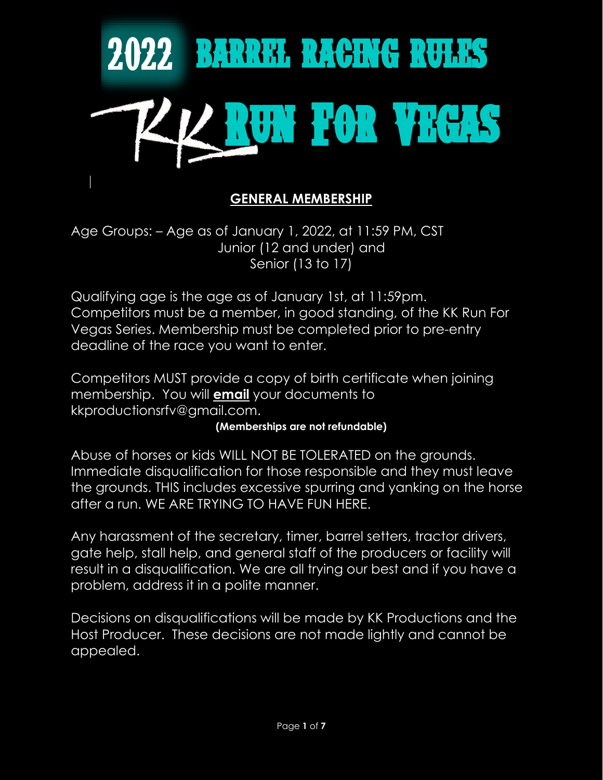

### **GENERAL MEMBERSHIP**

Age Groups: – Age as of January 1, 2022, at 11:59 PM, CST Junior (12 and under) and Senior (13 to 17)

Qualifying age is the age as of January 1st, at 11:59pm. Competitors must be a member, in good standing, of the KK Run For Vegas Series. Membership must be completed prior to pre-entry deadline of the race you want to enter.

Competitors MUST provide a copy of birth certificate when joining membership. You will **email** your documents to kkproductionsrfv@gmail.com.

#### **(Memberships are not refundable)**

Abuse of horses or kids WILL NOT BE TOLERATED on the grounds. Immediate disqualification for those responsible and they must leave the grounds. THIS includes excessive spurring and yanking on the horse after a run. WE ARE TRYING TO HAVE FUN HERE.

Any harassment of the secretary, timer, barrel setters, tractor drivers, gate help, stall help, and general staff of the producers or facility will result in a disqualification. We are all trying our best and if you have a problem, address it in a polite manner.

Decisions on disqualifications will be made by KK Productions and the Host Producer. These decisions are not made lightly and cannot be appealed.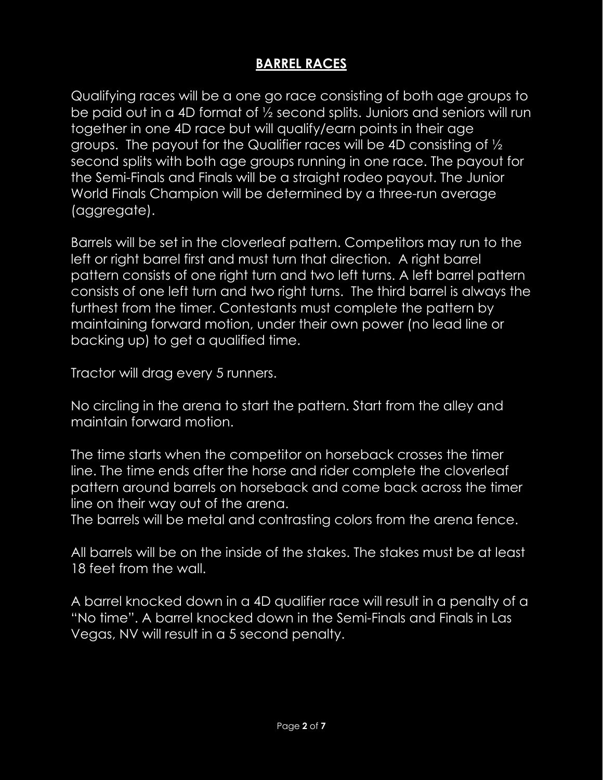## **BARREL RACES**

Qualifying races will be a one go race consisting of both age groups to be paid out in a 4D format of ½ second splits. Juniors and seniors will run together in one 4D race but will qualify/earn points in their age groups. The payout for the Qualifier races will be 4D consisting of ½ second splits with both age groups running in one race. The payout for the Semi-Finals and Finals will be a straight rodeo payout. The Junior World Finals Champion will be determined by a three-run average (aggregate).

Barrels will be set in the cloverleaf pattern. Competitors may run to the left or right barrel first and must turn that direction. A right barrel pattern consists of one right turn and two left turns. A left barrel pattern consists of one left turn and two right turns. The third barrel is always the furthest from the timer. Contestants must complete the pattern by maintaining forward motion, under their own power (no lead line or backing up) to get a qualified time.

Tractor will drag every 5 runners.

No circling in the arena to start the pattern. Start from the alley and maintain forward motion.

The time starts when the competitor on horseback crosses the timer line. The time ends after the horse and rider complete the cloverleaf pattern around barrels on horseback and come back across the timer line on their way out of the arena.

The barrels will be metal and contrasting colors from the arena fence.

All barrels will be on the inside of the stakes. The stakes must be at least 18 feet from the wall.

A barrel knocked down in a 4D qualifier race will result in a penalty of a "No time". A barrel knocked down in the Semi-Finals and Finals in Las Vegas, NV will result in a 5 second penalty.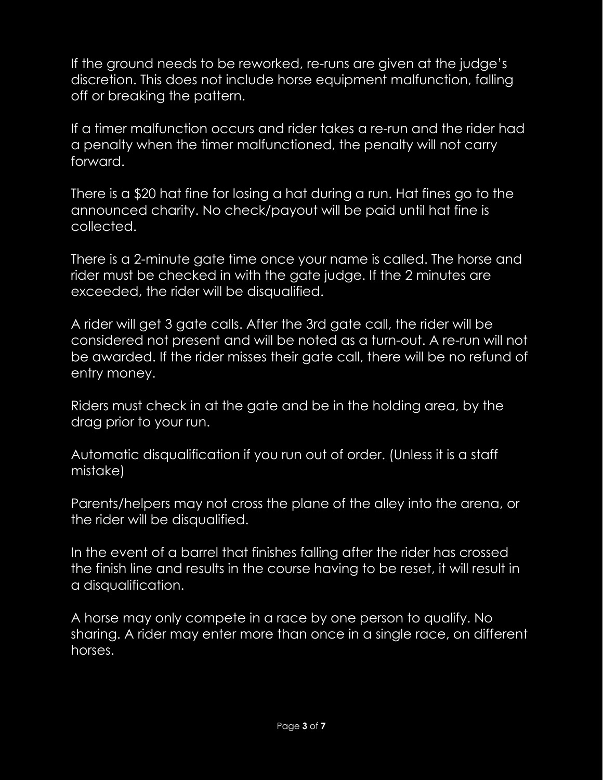If the ground needs to be reworked, re-runs are given at the judge's discretion. This does not include horse equipment malfunction, falling off or breaking the pattern.

If a timer malfunction occurs and rider takes a re-run and the rider had a penalty when the timer malfunctioned, the penalty will not carry forward.

There is a \$20 hat fine for losing a hat during a run. Hat fines go to the announced charity. No check/payout will be paid until hat fine is collected.

There is a 2-minute gate time once your name is called. The horse and rider must be checked in with the gate judge. If the 2 minutes are exceeded, the rider will be disqualified.

A rider will get 3 gate calls. After the 3rd gate call, the rider will be considered not present and will be noted as a turn-out. A re-run will not be awarded. If the rider misses their gate call, there will be no refund of entry money.

Riders must check in at the gate and be in the holding area, by the drag prior to your run.

Automatic disqualification if you run out of order. (Unless it is a staff mistake)

Parents/helpers may not cross the plane of the alley into the arena, or the rider will be disqualified.

In the event of a barrel that finishes falling after the rider has crossed the finish line and results in the course having to be reset, it will result in a disqualification.

A horse may only compete in a race by one person to qualify. No sharing. A rider may enter more than once in a single race, on different horses.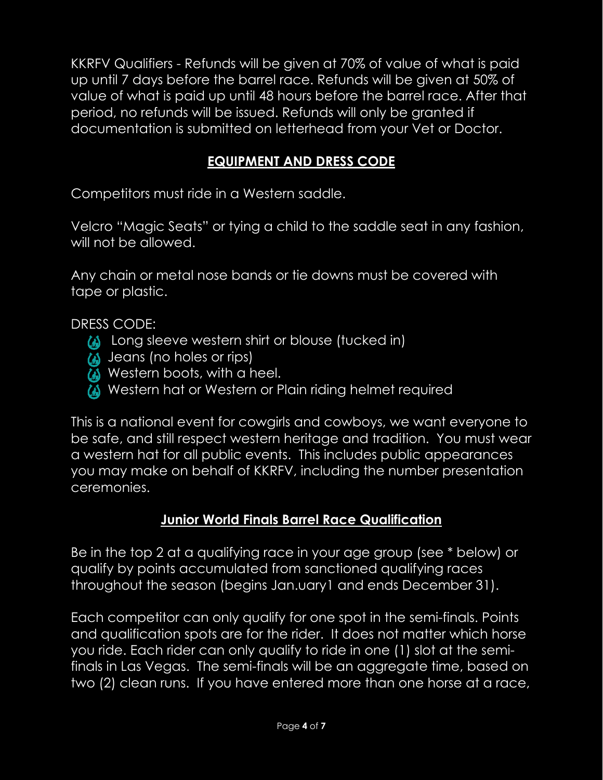KKRFV Qualifiers - Refunds will be given at 70% of value of what is paid up until 7 days before the barrel race. Refunds will be given at 50% of value of what is paid up until 48 hours before the barrel race. After that period, no refunds will be issued. Refunds will only be granted if documentation is submitted on letterhead from your Vet or Doctor.

## **EQUIPMENT AND DRESS CODE**

Competitors must ride in a Western saddle.

Velcro "Magic Seats" or tying a child to the saddle seat in any fashion, will not be allowed.

Any chain or metal nose bands or tie downs must be covered with tape or plastic.

DRESS CODE:

- **(A)** Long sleeve western shirt or blouse (tucked in)
- **(A)** Jeans (no holes or rips)
- **(A)** Western boots, with a heel.
- Western hat or Western or Plain riding helmet required

This is a national event for cowgirls and cowboys, we want everyone to be safe, and still respect western heritage and tradition. You must wear a western hat for all public events. This includes public appearances you may make on behalf of KKRFV, including the number presentation ceremonies.

#### **Junior World Finals Barrel Race Qualification**

Be in the top 2 at a qualifying race in your age group (see \* below) or qualify by points accumulated from sanctioned qualifying races throughout the season (begins Jan.uary1 and ends December 31).

Each competitor can only qualify for one spot in the semi-finals. Points and qualification spots are for the rider. It does not matter which horse you ride. Each rider can only qualify to ride in one (1) slot at the semifinals in Las Vegas. The semi-finals will be an aggregate time, based on two (2) clean runs. If you have entered more than one horse at a race,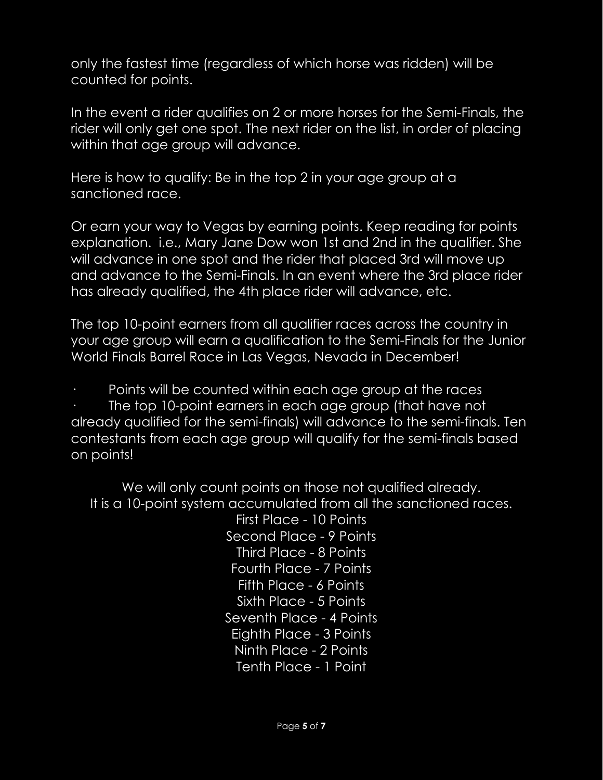only the fastest time (regardless of which horse was ridden) will be counted for points.

In the event a rider qualifies on 2 or more horses for the Semi-Finals, the rider will only get one spot. The next rider on the list, in order of placing within that age group will advance.

Here is how to qualify: Be in the top 2 in your age group at a sanctioned race.

Or earn your way to Vegas by earning points. Keep reading for points explanation. i.e., Mary Jane Dow won 1st and 2nd in the qualifier. She will advance in one spot and the rider that placed 3rd will move up and advance to the Semi-Finals. In an event where the 3rd place rider has already qualified, the 4th place rider will advance, etc.

The top 10-point earners from all qualifier races across the country in your age group will earn a qualification to the Semi-Finals for the Junior World Finals Barrel Race in Las Vegas, Nevada in December!

Points will be counted within each age group at the races

The top 10-point earners in each age group (that have not already qualified for the semi-finals) will advance to the semi-finals. Ten contestants from each age group will qualify for the semi-finals based on points!

We will only count points on those not qualified already. It is a 10-point system accumulated from all the sanctioned races.

First Place - 10 Points Second Place - 9 Points Third Place - 8 Points Fourth Place - 7 Points Fifth Place - 6 Points Sixth Place - 5 Points Seventh Place - 4 Points Eighth Place - 3 Points Ninth Place - 2 Points Tenth Place - 1 Point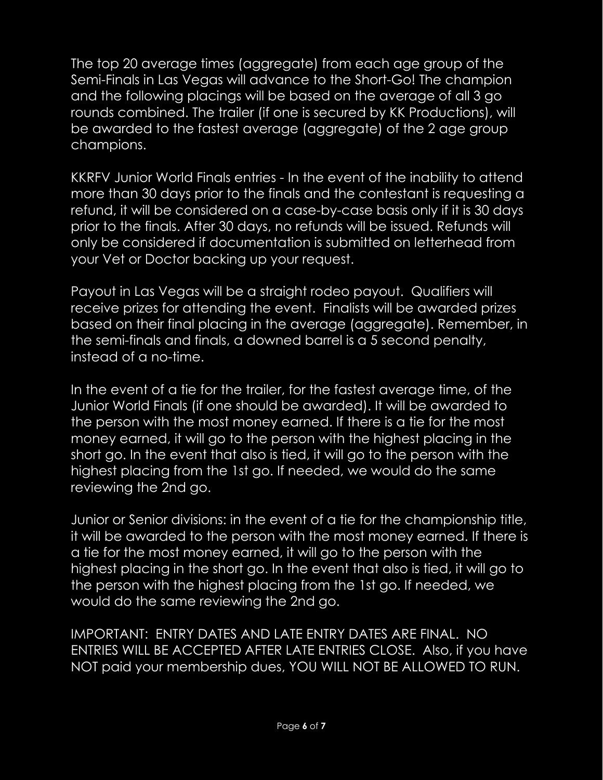The top 20 average times (aggregate) from each age group of the Semi-Finals in Las Vegas will advance to the Short-Go! The champion and the following placings will be based on the average of all 3 go rounds combined. The trailer (if one is secured by KK Productions), will be awarded to the fastest average (aggregate) of the 2 age group champions.

KKRFV Junior World Finals entries - In the event of the inability to attend more than 30 days prior to the finals and the contestant is requesting a refund, it will be considered on a case-by-case basis only if it is 30 days prior to the finals. After 30 days, no refunds will be issued. Refunds will only be considered if documentation is submitted on letterhead from your Vet or Doctor backing up your request.

Payout in Las Vegas will be a straight rodeo payout. Qualifiers will receive prizes for attending the event. Finalists will be awarded prizes based on their final placing in the average (aggregate). Remember, in the semi-finals and finals, a downed barrel is a 5 second penalty, instead of a no-time.

In the event of a tie for the trailer, for the fastest average time, of the Junior World Finals (if one should be awarded). It will be awarded to the person with the most money earned. If there is a tie for the most money earned, it will go to the person with the highest placing in the short go. In the event that also is tied, it will go to the person with the highest placing from the 1st go. If needed, we would do the same reviewing the 2nd go.

Junior or Senior divisions: in the event of a tie for the championship title, it will be awarded to the person with the most money earned. If there is a tie for the most money earned, it will go to the person with the highest placing in the short go. In the event that also is tied, it will go to the person with the highest placing from the 1st go. If needed, we would do the same reviewing the 2nd go.

IMPORTANT: ENTRY DATES AND LATE ENTRY DATES ARE FINAL. NO ENTRIES WILL BE ACCEPTED AFTER LATE ENTRIES CLOSE. Also, if you have NOT paid your membership dues, YOU WILL NOT BE ALLOWED TO RUN.